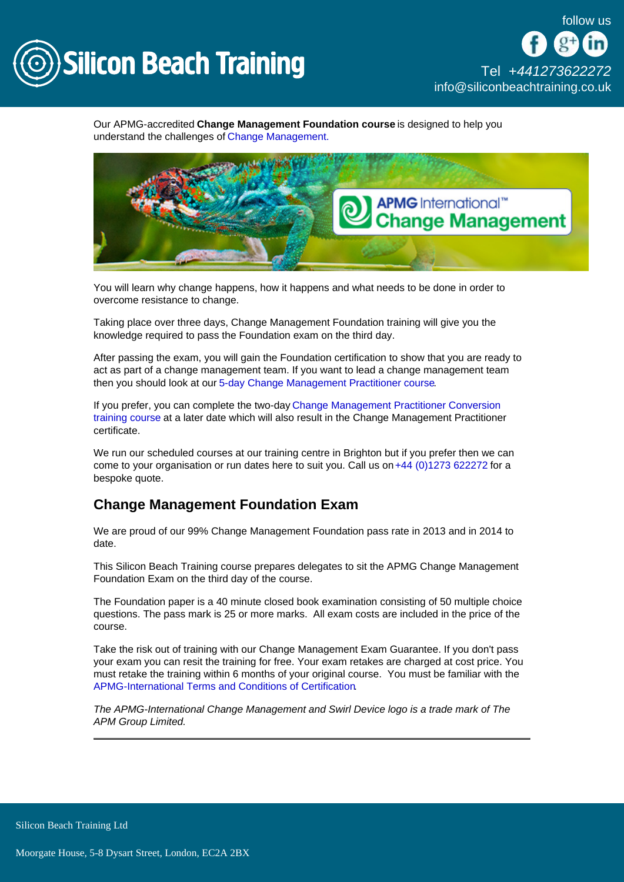

[Tel +44](tel:+441273622272)1273622272 [info@siliconbeachtraining.co.uk](/var/www/html/siliconbeachtraining.co.uk/public/mailTo:info@siliconbeachtraining.co.uk)

Our APMG-accredited Change Management Foundation course is designed to help you understand the challenges of [Change Management.](/change-management-training)

You will learn why change happens, how it happens and what needs to be done in order to overcome resistance to change.

Taking place over three days, Change Management Foundation training will give you the knowledge required to pass the Foundation exam on the third day.

After passing the exam, you will gain the Foundation certification to show that you are ready to act as part of a change management team. If you want to lead a change management team then you should look at our [5-day Change Management Practitioner course.](/change-management-training/change-management-practitioner)

If you prefer, you can complete the two-day [Change Management Practitioner Conversion](/change-management-training/change-management-practitioner-conversion)  [training course](/change-management-training/change-management-practitioner-conversion) at a later date which will also result in the Change Management Practitioner certificate.

We run our scheduled courses at our training centre in Brighton but if you prefer then we can come to your organisation or run dates here to suit you. Call us on [+44 \(0\)1273 622272](tel:441273622272) for a bespoke quote.

## Change Management Foundation Exam

We are proud of our 99% Change Management Foundation pass rate in 2013 and in 2014 to date.

This Silicon Beach Training course prepares delegates to sit the APMG Change Management Foundation Exam on the third day of the course.

The Foundation paper is a 40 minute closed book examination consisting of 50 multiple choice questions. The pass mark is 25 or more marks. All exam costs are included in the price of the course.

Take the risk out of training with our Change Management Exam Guarantee. If you don't pass your exam you can resit the training for free. Your exam retakes are charged at cost price. You must retake the training within 6 months of your original course. You must be familiar with the [APMG-International Terms and Conditions of Certification](http://www.apmg-international.com/en/legal-policies/terms-conditions.aspx).

The APMG-International Change Management and Swirl Device logo is a trade mark of The APM Group Limited.

Silicon Beach Training Ltd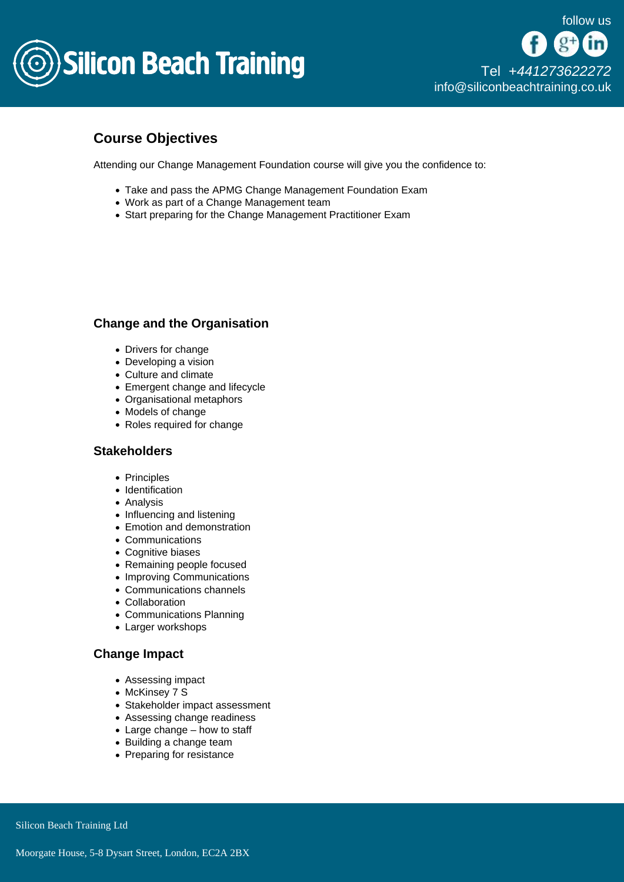

# Course Objectives

Attending our Change Management Foundation course will give you the confidence to:

- Take and pass the APMG Change Management Foundation Exam
- Work as part of a Change Management team
- Start preparing for the Change Management Practitioner Exam

## Change and the Organisation

- Drivers for change
- Developing a vision
- Culture and climate
- Emergent change and lifecycle
- Organisational metaphors
- Models of change
- Roles required for change

#### **Stakeholders**

- Principles
- Identification
- Analysis
- Influencing and listening
- Emotion and demonstration
- Communications
- Cognitive biases
- Remaining people focused
- Improving Communications
- Communications channels
- Collaboration
- Communications Planning
- Larger workshops

#### Change Impact

- Assessing impact
- McKinsey 7 S
- Stakeholder impact assessment
- Assessing change readiness
- Large change how to staff
- Building a change team
- Preparing for resistance

Silicon Beach Training Ltd